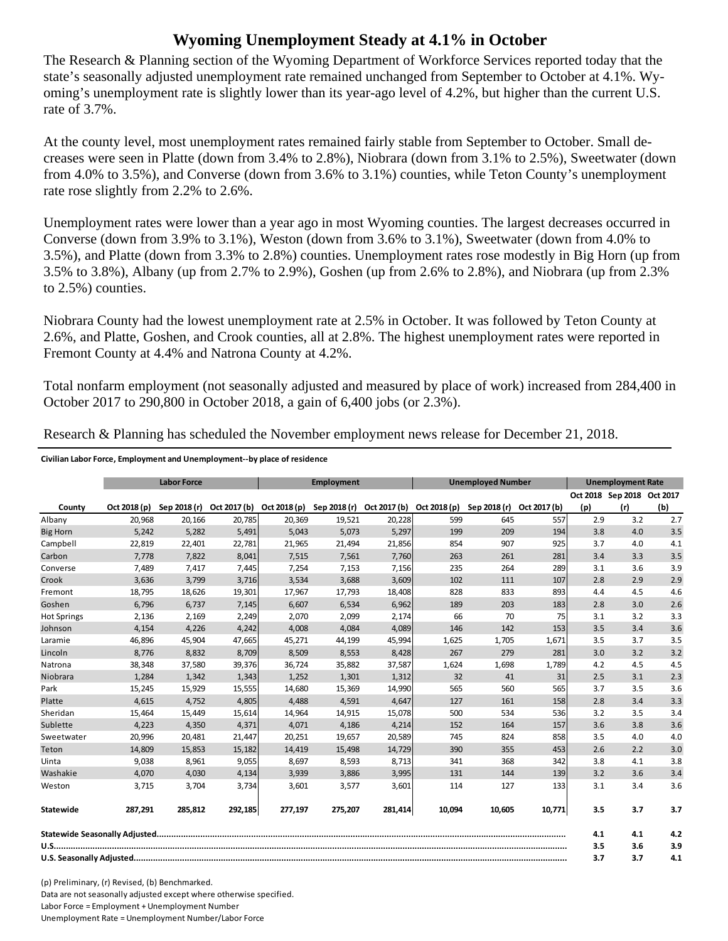## **Wyoming Unemployment Steady at 4.1% in October**

The Research & Planning section of the Wyoming Department of Workforce Services reported today that the state's seasonally adjusted unemployment rate remained unchanged from September to October at 4.1%. Wyoming's unemployment rate is slightly lower than its year-ago level of 4.2%, but higher than the current U.S. rate of 3.7%.

At the county level, most unemployment rates remained fairly stable from September to October. Small decreases were seen in Platte (down from 3.4% to 2.8%), Niobrara (down from 3.1% to 2.5%), Sweetwater (down from 4.0% to 3.5%), and Converse (down from 3.6% to 3.1%) counties, while Teton County's unemployment rate rose slightly from 2.2% to 2.6%.

Unemployment rates were lower than a year ago in most Wyoming counties. The largest decreases occurred in Converse (down from 3.9% to 3.1%), Weston (down from 3.6% to 3.1%), Sweetwater (down from 4.0% to 3.5%), and Platte (down from 3.3% to 2.8%) counties. Unemployment rates rose modestly in Big Horn (up from 3.5% to 3.8%), Albany (up from 2.7% to 2.9%), Goshen (up from 2.6% to 2.8%), and Niobrara (up from 2.3% to 2.5%) counties.

Niobrara County had the lowest unemployment rate at 2.5% in October. It was followed by Teton County at 2.6%, and Platte, Goshen, and Crook counties, all at 2.8%. The highest unemployment rates were reported in Fremont County at 4.4% and Natrona County at 4.2%.

Total nonfarm employment (not seasonally adjusted and measured by place of work) increased from 284,400 in October 2017 to 290,800 in October 2018, a gain of 6,400 jobs (or 2.3%).

|                    |              | <b>Unemployed Number</b><br><b>Labor Force</b><br><b>Employment</b> |              | <b>Unemployment Rate</b> |              |              |              |              |              |     |                            |     |
|--------------------|--------------|---------------------------------------------------------------------|--------------|--------------------------|--------------|--------------|--------------|--------------|--------------|-----|----------------------------|-----|
|                    |              |                                                                     |              |                          |              |              |              |              |              |     | Oct 2018 Sep 2018 Oct 2017 |     |
| County             | Oct 2018 (p) | Sep 2018 (r)                                                        | Oct 2017 (b) | Oct 2018 (p)             | Sep 2018 (r) | Oct 2017 (b) | Oct 2018 (p) | Sep 2018 (r) | Oct 2017 (b) | (p) | (r)                        | (b) |
| Albany             | 20.968       | 20,166                                                              | 20,785       | 20,369                   | 19,521       | 20,228       | 599          | 645          | 557          | 2.9 | 3.2                        | 2.7 |
| <b>Big Horn</b>    | 5,242        | 5,282                                                               | 5,491        | 5,043                    | 5,073        | 5,297        | 199          | 209          | 194          | 3.8 | 4.0                        | 3.5 |
| Campbell           | 22,819       | 22,401                                                              | 22,781       | 21,965                   | 21,494       | 21,856       | 854          | 907          | 925          | 3.7 | 4.0                        | 4.1 |
| Carbon             | 7.778        | 7,822                                                               | 8,041        | 7,515                    | 7,561        | 7,760        | 263          | 261          | 281          | 3.4 | 3.3                        | 3.5 |
| Converse           | 7.489        | 7,417                                                               | 7,445        | 7.254                    | 7,153        | 7,156        | 235          | 264          | 289          | 3.1 | 3.6                        | 3.9 |
| Crook              | 3.636        | 3.799                                                               | 3,716        | 3.534                    | 3.688        | 3,609        | 102          | 111          | 107          | 2.8 | 2.9                        | 2.9 |
| Fremont            | 18,795       | 18,626                                                              | 19,301       | 17,967                   | 17,793       | 18,408       | 828          | 833          | 893          | 4.4 | 4.5                        | 4.6 |
| Goshen             | 6,796        | 6,737                                                               | 7,145        | 6,607                    | 6,534        | 6,962        | 189          | 203          | 183          | 2.8 | 3.0                        | 2.6 |
| <b>Hot Springs</b> | 2,136        | 2,169                                                               | 2,249        | 2,070                    | 2,099        | 2,174        | 66           | 70           | 75           | 3.1 | 3.2                        | 3.3 |
| Johnson            | 4,154        | 4,226                                                               | 4,242        | 4,008                    | 4,084        | 4,089        | 146          | 142          | 153          | 3.5 | 3.4                        | 3.6 |
| Laramie            | 46,896       | 45,904                                                              | 47,665       | 45,271                   | 44,199       | 45,994       | 1,625        | 1,705        | 1,671        | 3.5 | 3.7                        | 3.5 |
| Lincoln            | 8,776        | 8,832                                                               | 8,709        | 8,509                    | 8,553        | 8,428        | 267          | 279          | 281          | 3.0 | 3.2                        | 3.2 |
| Natrona            | 38,348       | 37,580                                                              | 39,376       | 36,724                   | 35,882       | 37,587       | 1,624        | 1,698        | 1,789        | 4.2 | 4.5                        | 4.5 |
| Niobrara           | 1,284        | 1,342                                                               | 1,343        | 1,252                    | 1,301        | 1,312        | 32           | 41           | 31           | 2.5 | 3.1                        | 2.3 |
| Park               | 15,245       | 15,929                                                              | 15,555       | 14,680                   | 15,369       | 14,990       | 565          | 560          | 565          | 3.7 | 3.5                        | 3.6 |
| Platte             | 4,615        | 4,752                                                               | 4,805        | 4.488                    | 4,591        | 4,647        | 127          | 161          | 158          | 2.8 | 3.4                        | 3.3 |
| Sheridan           | 15,464       | 15,449                                                              | 15,614       | 14,964                   | 14,915       | 15,078       | 500          | 534          | 536          | 3.2 | 3.5                        | 3.4 |
| Sublette           | 4,223        | 4,350                                                               | 4,371        | 4,071                    | 4,186        | 4,214        | 152          | 164          | 157          | 3.6 | 3.8                        | 3.6 |
| Sweetwater         | 20,996       | 20,481                                                              | 21,447       | 20,251                   | 19,657       | 20,589       | 745          | 824          | 858          | 3.5 | 4.0                        | 4.0 |
| Teton              | 14.809       | 15,853                                                              | 15,182       | 14.419                   | 15.498       | 14,729       | 390          | 355          | 453          | 2.6 | 2.2                        | 3.0 |
| Uinta              | 9,038        | 8,961                                                               | 9,055        | 8,697                    | 8,593        | 8,713        | 341          | 368          | 342          | 3.8 | 4.1                        | 3.8 |
| Washakie           | 4,070        | 4,030                                                               | 4,134        | 3,939                    | 3,886        | 3,995        | 131          | 144          | 139          | 3.2 | 3.6                        | 3.4 |
| Weston             | 3,715        | 3,704                                                               | 3,734        | 3,601                    | 3,577        | 3,601        | 114          | 127          | 133          | 3.1 | 3.4                        | 3.6 |
| Statewide          | 287,291      | 285,812                                                             | 292,185      | 277,197                  | 275,207      | 281,414      | 10,094       | 10,605       | 10,771       | 3.5 | 3.7                        | 3.7 |
|                    |              |                                                                     |              |                          |              |              |              | 4.1          | 4.1          | 4.2 |                            |     |
|                    |              |                                                                     |              |                          |              |              |              | 3.5          | 3.6          | 3.9 |                            |     |
|                    |              |                                                                     |              |                          |              |              |              | 3.7          | 3.7          | 4.1 |                            |     |

Research & Planning has scheduled the November employment news release for December 21, 2018.

**Civilian Labor Force, Employment and Unemployment‐‐by place of residence**

(p) Preliminary, (r) Revised, (b) Benchmarked. Data are not seasonally adjusted except where otherwise specified. Labor Force = Employment + Unemployment Number Unemployment Rate = Unemployment Number/Labor Force